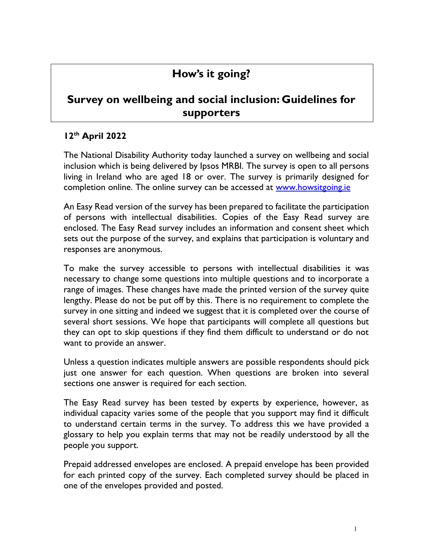## **How's it going?**

## **Survey on wellbeing and social inclusion: Guidelines for supporters**

## **12th April 2022**

The National Disability Authority today launched a survey on wellbeing and social inclusion which is being delivered by Ipsos MRBI. The survey is open to all persons living in Ireland who are aged 18 or over. The survey is primarily designed for completion online. The online survey can be accessed at [www.howsitgoing.ie](http://www.howsitgoing.ie/)

An Easy Read version of the survey has been prepared to facilitate the participation of persons with intellectual disabilities. Copies of the Easy Read survey are enclosed. The Easy Read survey includes an information and consent sheet which sets out the purpose of the survey, and explains that participation is voluntary and responses are anonymous.

To make the survey accessible to persons with intellectual disabilities it was necessary to change some questions into multiple questions and to incorporate a range of images. These changes have made the printed version of the survey quite lengthy. Please do not be put off by this. There is no requirement to complete the survey in one sitting and indeed we suggest that it is completed over the course of several short sessions. We hope that participants will complete all questions but they can opt to skip questions if they find them difficult to understand or do not want to provide an answer.

Unless a question indicates multiple answers are possible respondents should pick just one answer for each question. When questions are broken into several sections one answer is required for each section.

The Easy Read survey has been tested by experts by experience, however, as individual capacity varies some of the people that you support may find it difficult to understand certain terms in the survey. To address this we have provided a glossary to help you explain terms that may not be readily understood by all the people you support.

Prepaid addressed envelopes are enclosed. A prepaid envelope has been provided for each printed copy of the survey. Each completed survey should be placed in one of the envelopes provided and posted.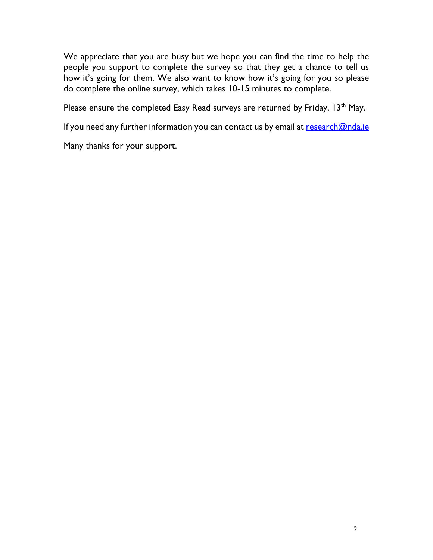We appreciate that you are busy but we hope you can find the time to help the people you support to complete the survey so that they get a chance to tell us how it's going for them. We also want to know how it's going for you so please do complete the online survey, which takes 10-15 minutes to complete.

Please ensure the completed Easy Read surveys are returned by Friday, 13<sup>th</sup> May.

If you need any further information you can contact us by email at [research@nda.ie](mailto:research@nda.ie)

Many thanks for your support.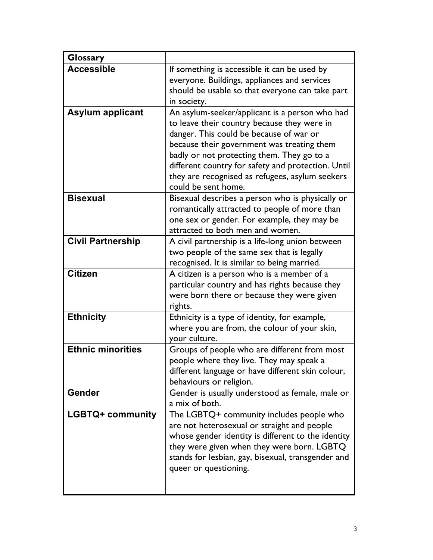| <b>Glossary</b>          |                                                                                                                                                                                                                                                                                                                                                                      |
|--------------------------|----------------------------------------------------------------------------------------------------------------------------------------------------------------------------------------------------------------------------------------------------------------------------------------------------------------------------------------------------------------------|
| <b>Accessible</b>        | If something is accessible it can be used by<br>everyone. Buildings, appliances and services                                                                                                                                                                                                                                                                         |
|                          | should be usable so that everyone can take part<br>in society.                                                                                                                                                                                                                                                                                                       |
| <b>Asylum applicant</b>  | An asylum-seeker/applicant is a person who had<br>to leave their country because they were in<br>danger. This could be because of war or<br>because their government was treating them<br>badly or not protecting them. They go to a<br>different country for safety and protection. Until<br>they are recognised as refugees, asylum seekers<br>could be sent home. |
| <b>Bisexual</b>          | Bisexual describes a person who is physically or<br>romantically attracted to people of more than<br>one sex or gender. For example, they may be<br>attracted to both men and women.                                                                                                                                                                                 |
| <b>Civil Partnership</b> | A civil partnership is a life-long union between<br>two people of the same sex that is legally<br>recognised. It is similar to being married.                                                                                                                                                                                                                        |
| <b>Citizen</b>           | A citizen is a person who is a member of a<br>particular country and has rights because they<br>were born there or because they were given<br>rights.                                                                                                                                                                                                                |
| <b>Ethnicity</b>         | Ethnicity is a type of identity, for example,<br>where you are from, the colour of your skin,<br>your culture.                                                                                                                                                                                                                                                       |
| <b>Ethnic minorities</b> | Groups of people who are different from most<br>people where they live. They may speak a<br>different language or have different skin colour,<br>behaviours or religion.                                                                                                                                                                                             |
| <b>Gender</b>            | Gender is usually understood as female, male or<br>a mix of both.                                                                                                                                                                                                                                                                                                    |
| <b>LGBTQ+ community</b>  | The LGBTQ+ community includes people who<br>are not heterosexual or straight and people<br>whose gender identity is different to the identity<br>they were given when they were born. LGBTQ<br>stands for lesbian, gay, bisexual, transgender and<br>queer or questioning.                                                                                           |